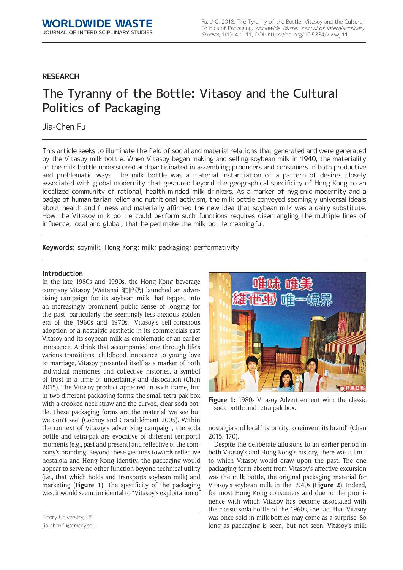# **RESEARCH**

# The Tyranny of the Bottle: Vitasoy and the Cultural Politics of Packaging

# Jia-Chen Fu

This article seeks to illuminate the field of social and material relations that generated and were generated by the Vitasoy milk bottle. When Vitasoy began making and selling soybean milk in 1940, the materiality of the milk bottle underscored and participated in assembling producers and consumers in both productive and problematic ways. The milk bottle was a material instantiation of a pattern of desires closely associated with global modernity that gestured beyond the geographical specificity of Hong Kong to an idealized community of rational, health-minded milk drinkers. As a marker of hygienic modernity and a badge of humanitarian relief and nutritional activism, the milk bottle conveyed seemingly universal ideals about health and fitness and materially affirmed the new idea that soybean milk was a dairy substitute. How the Vitasoy milk bottle could perform such functions requires disentangling the multiple lines of influence, local and global, that helped make the milk bottle meaningful.

**Keywords:** soymilk; Hong Kong; milk; packaging; performativity

## **Introduction**

In the late 1980s and 1990s, the Hong Kong beverage company Vitasoy (Weitanai 維他奶) launched an advertising campaign for its soybean milk that tapped into an increasingly prominent public sense of longing for the past, particularly the seemingly less anxious golden era of the 1960s and 1970s.<sup>1</sup> Vitasoy's self-conscious adoption of a nostalgic aesthetic in its commercials cast Vitasoy and its soybean milk as emblematic of an earlier innocence. A drink that accompanied one through life's various transitions: childhood innocence to young love to marriage, Vitasoy presented itself as a marker of both individual memories and collective histories, a symbol of trust in a time of uncertainty and dislocation (Chan 2015). The Vitasoy product appeared in each frame, but in two different packaging forms: the small tetra-pak box with a crooked neck straw and the curved, clear soda bottle. These packaging forms are the material 'we see but we don't see' (Cochoy and Grandclément 2005). Within the context of Vitasoy's advertising campaign, the soda bottle and tetra-pak are evocative of different temporal moments (e.g., past and present) and reflective of the company's branding. Beyond these gestures towards reflective nostalgia and Hong Kong identity, the packaging would appear to serve no other function beyond technical utility (i.e., that which holds and transports soybean milk) and marketing (**Figure 1**). The specificity of the packaging was, it would seem, incidental to "Vitasoy's exploitation of

Figure 1: 1980s Vitasoy Advertisement with the classic soda bottle and tetra-pak box.

nostalgia and local historicity to reinvent its brand" (Chan 2015: 170).

Despite the deliberate allusions to an earlier period in both Vitasoy's and Hong Kong's history, there was a limit to which Vitasoy would draw upon the past. The one packaging form absent from Vitasoy's affective excursion was the milk bottle, the original packaging material for Vitasoy's soybean milk in the 1940s (**Figure 2**). Indeed, for most Hong Kong consumers and due to the prominence with which Vitasoy has become associated with the classic soda bottle of the 1960s, the fact that Vitasoy was once sold in milk bottles may come as a surprise. So long as packaging is seen, but not seen, Vitasoy's milk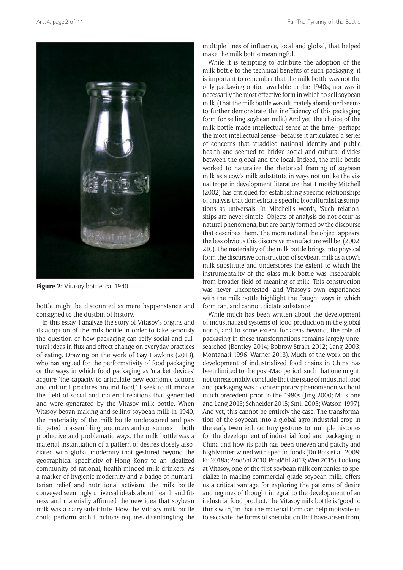

**Figure 2:** Vitasoy bottle, ca. 1940.

bottle might be discounted as mere happenstance and consigned to the dustbin of history.

In this essay, I analyze the story of Vitasoy's origins and its adoption of the milk bottle in order to take seriously the question of how packaging can reify social and cultural ideas in flux and effect change on everyday practices of eating. Drawing on the work of Gay Hawkins (2013), who has argued for the performativity of food packaging or the ways in which food packaging as 'market devices' acquire 'the capacity to articulate new economic actions and cultural practices around food,' I seek to illuminate the field of social and material relations that generated and were generated by the Vitasoy milk bottle. When Vitasoy began making and selling soybean milk in 1940, the materiality of the milk bottle underscored and participated in assembling producers and consumers in both productive and problematic ways. The milk bottle was a material instantiation of a pattern of desires closely associated with global modernity that gestured beyond the geographical specificity of Hong Kong to an idealized community of rational, health-minded milk drinkers. As a marker of hygienic modernity and a badge of humanitarian relief and nutritional activism, the milk bottle conveyed seemingly universal ideals about health and fitness and materially affirmed the new idea that soybean milk was a dairy substitute. How the Vitasoy milk bottle could perform such functions requires disentangling the

multiple lines of influence, local and global, that helped make the milk bottle meaningful.

While it is tempting to attribute the adoption of the milk bottle to the technical benefits of such packaging, it is important to remember that the milk bottle was not the only packaging option available in the 1940s; nor was it necessarily the most effective form in which to sell soybean milk. (That the milk bottle was ultimately abandoned seems to further demonstrate the inefficiency of this packaging form for selling soybean milk.) And yet, the choice of the milk bottle made intellectual sense at the time—perhaps the most intellectual sense—because it articulated a series of concerns that straddled national identity and public health and seemed to bridge social and cultural divides between the global and the local. Indeed, the milk bottle worked to naturalize the rhetorical framing of soybean milk as a cow's milk substitute in ways not unlike the visual trope in development literature that Timothy Mitchell (2002) has critiqued for establishing specific relationships of analysis that domesticate specific bioculturalist assumptions as universals. In Mitchell's words, 'Such relationships are never simple. Objects of analysis do not occur as natural phenomena, but are partly formed by the discourse that describes them. The more natural the object appears, the less obvious this discursive manufacture will be' (2002: 210). The materiality of the milk bottle brings into physical form the discursive construction of soybean milk as a cow's milk substitute and underscores the extent to which the instrumentality of the glass milk bottle was inseparable from broader field of meaning of milk. This construction was never uncontested, and Vitasoy's own experiences with the milk bottle highlight the fraught ways in which form can, and cannot, dictate substance.

While much has been written about the development of industrialized systems of food production in the global north, and to some extent for areas beyond, the role of packaging in these transformations remains largely unresearched (Bentley 2014; Bobrow-Strain 2012; Lang 2003; Montanari 1996; Warner 2013). Much of the work on the development of industrialized food chains in China has been limited to the post-Mao period, such that one might, not unreasonably, conclude that the issue of industrial food and packaging was a contemporary phenomenon without much precedent prior to the 1980s (Jing 2000; Millstone and Lang 2013; Schneider 2015; Smil 2005; Watson 1997). And yet, this cannot be entirely the case. The transformation of the soybean into a global agro-industrial crop in the early twentieth century gestures to multiple histories for the development of industrial food and packaging in China and how its path has been uneven and patchy and highly intertwined with specific foods (Du Bois et al. 2008; Fu 2018a; Prodöhl 2010; Prodöhl 2013; Wen 2015). Looking at Vitasoy, one of the first soybean milk companies to specialize in making commercial grade soybean milk, offers us a critical vantage for exploring the patterns of desire and regimes of thought integral to the development of an industrial food product. The Vitasoy milk bottle is 'good to think with,' in that the material form can help motivate us to excavate the forms of speculation that have arisen from,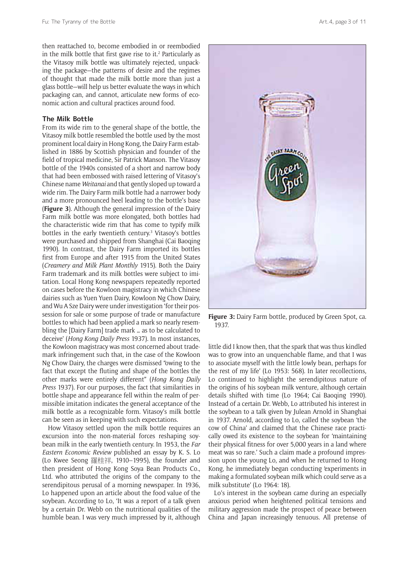then reattached to, become embodied in or reembodied in the milk bottle that first gave rise to it. $2$  Particularly as the Vitasoy milk bottle was ultimately rejected, unpacking the package—the patterns of desire and the regimes of thought that made the milk bottle more than just a glass bottle—will help us better evaluate the ways in which packaging can, and cannot, articulate new forms of economic action and cultural practices around food.

#### **The Milk Bottle**

From its wide rim to the general shape of the bottle, the Vitasoy milk bottle resembled the bottle used by the most prominent local dairy in Hong Kong, the Dairy Farm established in 1886 by Scottish physician and founder of the field of tropical medicine, Sir Patrick Manson. The Vitasoy bottle of the 1940s consisted of a short and narrow body that had been embossed with raised lettering of Vitasoy's Chinese name *Weitanai* and that gently sloped up toward a wide rim. The Dairy Farm milk bottle had a narrower body and a more pronounced heel leading to the bottle's base (**Figure 3**). Although the general impression of the Dairy Farm milk bottle was more elongated, both bottles had the characteristic wide rim that has come to typify milk bottles in the early twentieth century.<sup>3</sup> Vitasoy's bottles were purchased and shipped from Shanghai (Cai Baoqing 1990). In contrast, the Dairy Farm imported its bottles first from Europe and after 1915 from the United States (*Creamery and Milk Plant Monthly* 1915). Both the Dairy Farm trademark and its milk bottles were subject to imitation. Local Hong Kong newspapers repeatedly reported on cases before the Kowloon magistracy in which Chinese dairies such as Yuen Yuen Dairy, Kowloon Ng Chow Dairy, and Wu A Sze Dairy were under investigation 'for their possession for sale or some purpose of trade or manufacture bottles to which had been applied a mark so nearly resembling the [Dairy Farm] trade mark … as to be calculated to deceive' (*Hong Kong Daily Press* 1937). In most instances, the Kowloon magistracy was most concerned about trademark infringement such that, in the case of the Kowloon Ng Chow Dairy, the charges were dismissed "owing to the fact that except the fluting and shape of the bottles the other marks were entirely different" (*Hong Kong Daily Press* 1937). For our purposes, the fact that similarities in bottle shape and appearance fell within the realm of permissible imitation indicates the general acceptance of the milk bottle as a recognizable form. Vitasoy's milk bottle can be seen as in keeping with such expectations.

How Vitasoy settled upon the milk bottle requires an excursion into the non-material forces reshaping soybean milk in the early twentieth century. In 1953, the *Far Eastern Economic Review* published an essay by K. S. Lo (Lo Kwee Seong 羅桂祥, 1910–1995), the founder and then president of Hong Kong Soya Bean Products Co., Ltd. who attributed the origins of the company to the serendipitous perusal of a morning newspaper. In 1936, Lo happened upon an article about the food value of the soybean. According to Lo, 'It was a report of a talk given by a certain Dr. Webb on the nutritional qualities of the humble bean. I was very much impressed by it, although



Figure 3: Dairy Farm bottle, produced by Green Spot, ca. 1937.

little did I know then, that the spark that was thus kindled was to grow into an unquenchable flame, and that I was to associate myself with the little lowly bean, perhaps for the rest of my life' (Lo 1953: 568). In later recollections, Lo continued to highlight the serendipitous nature of the origins of his soybean milk venture, although certain details shifted with time (Lo 1964; Cai Baoqing 1990). Instead of a certain Dr. Webb, Lo attributed his interest in the soybean to a talk given by Julean Arnold in Shanghai in 1937. Arnold, according to Lo, called the soybean 'the cow of China' and claimed that the Chinese race practically owed its existence to the soybean for 'maintaining their physical fitness for over 5,000 years in a land where meat was so rare.' Such a claim made a profound impression upon the young Lo, and when he returned to Hong Kong, he immediately began conducting 'experiments in making a formulated soybean milk which could serve as a milk substitute' (Lo 1964: 18).

Lo's interest in the soybean came during an especially anxious period when heightened political tensions and military aggression made the prospect of peace between China and Japan increasingly tenuous. All pretense of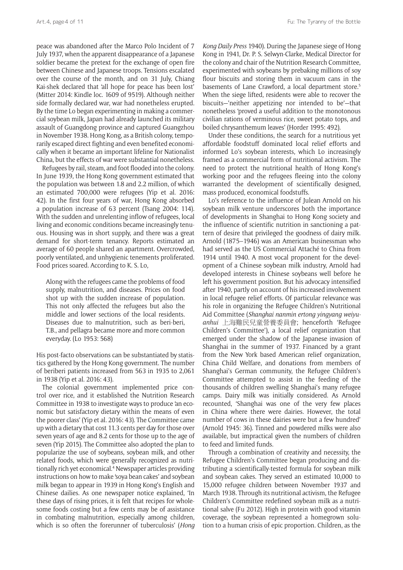peace was abandoned after the Marco Polo Incident of 7 July 1937, when the apparent disappearance of a Japanese soldier became the pretext for the exchange of open fire between Chinese and Japanese troops. Tensions escalated over the course of the month, and on 31 July, Chiang Kai-shek declared that 'all hope for peace has been lost' (Mitter 2014: Kindle loc. 1609 of 9519). Although neither side formally declared war, war had nonetheless erupted. By the time Lo began experimenting in making a commercial soybean milk, Japan had already launched its military assault of Guangdong province and captured Guangzhou in November 1938. Hong Kong, as a British colony, temporarily escaped direct fighting and even benefited economically when it became an important lifeline for Nationalist China, but the effects of war were substantial nonetheless.

Refugees by rail, steam, and foot flooded into the colony. In June 1939, the Hong Kong government estimated that the population was between 1.8 and 2.2 million, of which an estimated 700,000 were refugees (Yip et al. 2016: 42). In the first four years of war, Hong Kong absorbed a population increase of 63 percent (Tsang 2004: 114). With the sudden and unrelenting inflow of refugees, local living and economic conditions became increasingly tenuous. Housing was in short supply, and there was a great demand for short-term tenancy. Reports estimated an average of 60 people shared an apartment. Overcrowded, poorly ventilated, and unhygienic tenements proliferated. Food prices soared. According to K. S. Lo,

Along with the refugees came the problems of food supply, malnutrition, and diseases. Prices on food shot up with the sudden increase of population. This not only affected the refugees but also the middle and lower sections of the local residents. Diseases due to malnutrition, such as beri-beri, T.B., and pellagra became more and more common everyday. (Lo 1953: 568)

His post-facto observations can be substantiated by statistics gathered by the Hong Kong government. The number of beriberi patients increased from 563 in 1935 to 2,061 in 1938 (Yip et al. 2016: 43).

The colonial government implemented price control over rice, and it established the Nutrition Research Committee in 1938 to investigate ways to produce 'an economic but satisfactory dietary within the means of even the poorer class' (Yip et al. 2016: 43). The Committee came up with a dietary that cost 11.3 cents per day for those over seven years of age and 8.2 cents for those up to the age of seven (Yip 2015). The Committee also adopted the plan to popularize the use of soybeans, soybean milk, and other related foods, which were generally recognized as nutritionally rich yet economical.<sup>4</sup> Newspaper articles providing instructions on how to make 'soya bean cakes' and soybean milk began to appear in 1939 in Hong Kong's English and Chinese dailies. As one newspaper notice explained, 'In these days of rising prices, it is felt that recipes for wholesome foods costing but a few cents may be of assistance in combating malnutrition, especially among children, which is so often the forerunner of tuberculosis' (*Hong*  *Kong Daily Press* 1940). During the Japanese siege of Hong Kong in 1941, Dr. P. S. Selwyn-Clarke, Medical Director for the colony and chair of the Nutrition Research Committee, experimented with soybeans by prebaking millions of soy flour biscuits and storing them in vacuum cans in the basements of Lane Crawford, a local department store.<sup>5</sup> When the siege lifted, residents were able to recover the biscuits—'neither appetizing nor intended to be'—that nonetheless 'proved a useful addition to the monotonous civilian rations of verminous rice, sweet potato tops, and boiled chrysanthemum leaves' (Horder 1995: 492).

Under these conditions, the search for a nutritious yet affordable foodstuff dominated local relief efforts and informed Lo's soybean interests, which Lo increasingly framed as a commercial form of nutritional activism. The need to protect the nutritional health of Hong Kong's working poor and the refugees fleeing into the colony warranted the development of scientifically designed, mass produced, economical foodstuffs.

Lo's reference to the influence of Julean Arnold on his soybean milk venture underscores both the importance of developments in Shanghai to Hong Kong society and the influence of scientific nutrition in sanctioning a pattern of desire that privileged the goodness of dairy milk. Arnold (1875–1946) was an American businessman who had served as the US Commercial Attaché to China from 1914 until 1940. A most vocal proponent for the development of a Chinese soybean milk industry, Arnold had developed interests in Chinese soybeans well before he left his government position. But his advocacy intensified after 1940, partly on account of his increased involvement in local refugee relief efforts. Of particular relevance was his role in organizing the Refugee Children's Nutritional Aid Committee (*Shanghai nanmin ertong yingyang weiyuanhui* 上海難民兒童營養委員會; henceforth 'Refugee Children's Committee'), a local relief organization that emerged under the shadow of the Japanese invasion of Shanghai in the summer of 1937. Financed by a grant from the New York based American relief organization, China Child Welfare, and donations from members of Shanghai's German community, the Refugee Children's Committee attempted to assist in the feeding of the thousands of children swelling Shanghai's many refugee camps. Dairy milk was initially considered. As Arnold recounted, 'Shanghai was one of the very few places in China where there were dairies. However, the total number of cows in these dairies were but a few hundred' (Arnold 1945: 36). Tinned and powdered milks were also available, but impractical given the numbers of children to feed and limited funds.

Through a combination of creativity and necessity, the Refugee Children's Committee began producing and distributing a scientifically-tested formula for soybean milk and soybean cakes. They served an estimated 10,000 to 15,000 refugee children between November 1937 and March 1938. Through its nutritional activism, the Refugee Children's Committee redefined soybean milk as a nutritional salve (Fu 2012). High in protein with good vitamin coverage, the soybean represented a homegrown solution to a human crisis of epic proportion. Children, as the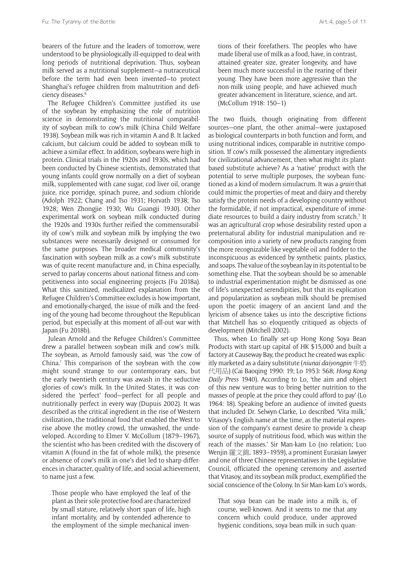bearers of the future and the leaders of tomorrow, were understood to be physiologically ill-equipped to deal with long periods of nutritional deprivation. Thus, soybean milk served as a nutritional supplement—a nutraceutical before the term had even been invented—to protect Shanghai's refugee children from malnutrition and deficiency diseases.6

The Refugee Children's Committee justified its use of the soybean by emphasizing the role of nutrition science in demonstrating the nutritional comparability of soybean milk to cow's milk (China Child Welfare 1938). Soybean milk was rich in vitamin A and B. It lacked calcium, but calcium could be added to soybean milk to achieve a similar effect. In addition, soybeans were high in protein. Clinical trials in the 1920s and 1930s, which had been conducted by Chinese scientists, demonstrated that young infants could grow normally on a diet of soybean milk, supplemented with cane sugar, cod liver oil, orange juice, rice porridge, spinach puree, and sodium chloride (Adolph 1922; Chang and Tso 1931; Horvath 1938; Tso 1928; Wen Zhongjie 1930; Wu Guangji 1930). Other experimental work on soybean milk conducted during the 1920s and 1930s further reified the commensurability of cow's milk and soybean milk by implying the two substances were necessarily designed or consumed for the same purposes. The broader medical community's fascination with soybean milk as a cow's milk substitute was of quite recent manufacture and, in China especially, served to parlay concerns about national fitness and competitiveness into social engineering projects (Fu 2018a). What this sanitized, medicalized explanation from the Refugee Children's Committee excludes is how important, and emotionally-charged, the issue of milk and the feeding of the young had become throughout the Republican period, but especially at this moment of all-out war with Japan (Fu 2018b).

Julean Arnold and the Refugee Children's Committee drew a parallel between soybean milk and cow's milk. The soybean, as Arnold famously said, was 'the cow of China.' This comparison of the soybean with the cow might sound strange to our contemporary ears, but the early twentieth century was awash in the seductive glories of cow's milk. In the United States, it was considered the 'perfect' food—perfect for all people and nutritionally perfect in every way (Dupuis 2002). It was described as the critical ingredient in the rise of Western civilization, the traditional food that enabled the West to rise above the motley crowd, the unwashed, the undeveloped. According to Elmer V. McCollum (1879–1967), the scientist who has been credited with the discovery of vitamin A (found in the fat of whole milk), the presence or absence of cow's milk in one's diet led to sharp differences in character, quality of life, and social achievement, to name just a few.

Those people who have employed the leaf of the plant as their sole protective food are characterized by small stature, relatively short span of life, high infant mortality, and by contended adherence to the employment of the simple mechanical inventions of their forefathers. The peoples who have made liberal use of milk as a food, have, in contrast, attained greater size, greater longevity, and have been much more successful in the rearing of their young. They have been more aggressive than the non-milk using people, and have achieved much greater advancement in literature, science, and art. (McCollum 1918: 150–1)

The two fluids, though originating from different sources—one plant, the other animal—were juxtaposed as biological counterparts in both function and form, and using nutritional indices, comparable in nutritive composition. If cow's milk possessed the alimentary ingredients for civilizational advancement, then what might its plantbased substitute achieve? As a 'native' product with the potential to serve multiple purposes, the soybean functioned as a kind of modern simulacrum. It was a *grain* that could mimic the properties of meat and dairy and thereby satisfy the protein needs of a developing country without the formidable, if not impractical, expenditure of immediate resources to build a dairy industry from scratch.<sup>7</sup> It was an agricultural crop whose desirability rested upon a preternatural ability for industrial manipulation and recomposition into a variety of new products ranging from the more recognizable like vegetable oil and fodder to the inconspicuous as evidenced by synthetic paints, plastics, and soaps. The value of the soybean lay in its potential to be something else. That the soybean should be so amenable to industrial experimentation might be dismissed as one of life's unexpected serendipities, but that its explication and popularization as soybean milk should be premised upon the poetic imagery of an ancient land and the lyricism of absence takes us into the descriptive fictions that Mitchell has so eloquently critiqued as objects of development (Mitchell 2002).

Thus, when Lo finally set-up Hong Kong Soya Bean Products with start-up capital of HK \$15,000 and built a factory at Causeway Bay, the product he created was explicitly marketed as a dairy substitute (*niunai daiyongpin* 牛奶 代用品) (Cai Baoqing 1990: 19; Lo 1953: 568; *Hong Kong Daily Press* 1940). According to Lo, 'the aim and object of this new venture was to bring better nutrition to the masses of people at the price they could afford to pay' (Lo 1964: 18). Speaking before an audience of invited guests that included Dr. Selwyn-Clarke, Lo described 'Vita milk,' Vitasoy's English name at the time, as the material expression of the company's earnest desire to provide 'a cheap source of supply of nutritious food, which was within the reach of the masses.' Sir Man-kam Lo (no relation; Luo Wenjin 羅文錦, 1893–1959), a prominent Eurasian lawyer and one of three Chinese representatives in the Legislative Council, officiated the opening ceremony and asserted that Vitasoy, and its soybean milk product, exemplified the social conscience of the Colony. In Sir Man-kam Lo's words,

That soya bean can be made into a milk is, of course, well-known. And it seems to me that any concern which could produce, under approved hygienic conditions, soya bean milk in such quan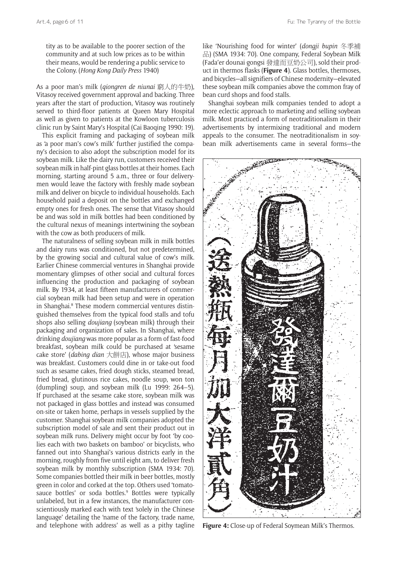As a poor man's milk (*qiongren de niunai* 窮人的牛奶), Vitasoy received government approval and backing. Three years after the start of production, Vitasoy was routinely served to third-floor patients at Queen Mary Hospital as well as given to patients at the Kowloon tuberculosis clinic run by Saint Mary's Hospital (Cai Baoqing 1990: 19).

the Colony. (*Hong Kong Daily Press* 1940)

This explicit framing and packaging of soybean milk as 'a poor man's cow's milk' further justified the company's decision to also adopt the subscription model for its soybean milk. Like the dairy run, customers received their soybean milk in half-pint glass bottles at their homes. Each morning, starting around 5 a.m., three or four deliverymen would leave the factory with freshly made soybean milk and deliver on bicycle to individual households. Each household paid a deposit on the bottles and exchanged empty ones for fresh ones. The sense that Vitasoy should be and was sold in milk bottles had been conditioned by the cultural nexus of meanings intertwining the soybean with the cow as both producers of milk.

The naturalness of selling soybean milk in milk bottles and dairy runs was conditioned, but not predetermined, by the growing social and cultural value of cow's milk. Earlier Chinese commercial ventures in Shanghai provide momentary glimpses of other social and cultural forces influencing the production and packaging of soybean milk. By 1934, at least fifteen manufacturers of commercial soybean milk had been setup and were in operation in Shanghai.8 These modern commercial ventures distinguished themselves from the typical food stalls and tofu shops also selling *doujiang* (soybean milk) through their packaging and organization of sales. In Shanghai, where drinking *doujiang* was more popular as a form of fast-food breakfast, soybean milk could be purchased at 'sesame cake store' (*dabing dian* 大餅店), whose major business was breakfast. Customers could dine in or take-out food such as sesame cakes, fried dough sticks, steamed bread, fried bread, glutinous rice cakes, noodle soup, won ton (dumpling) soup, and soybean milk (Lu 1999: 264–5). If purchased at the sesame cake store, soybean milk was not packaged in glass bottles and instead was consumed on-site or taken home, perhaps in vessels supplied by the customer. Shanghai soybean milk companies adopted the subscription model of sale and sent their product out in soybean milk runs. Delivery might occur by foot 'by coolies each with two baskets on bamboo' or bicyclists, who fanned out into Shanghai's various districts early in the morning, roughly from five until eight am, to deliver fresh soybean milk by monthly subscription (SMA 1934: 70). Some companies bottled their milk in beer bottles, mostly green in color and corked at the top. Others used 'tomatosauce bottles' or soda bottles.<sup>9</sup> Bottles were typically unlabeled, but in a few instances, the manufacturer conscientiously marked each with text 'solely in the Chinese language' detailing the 'name of the factory, trade name, and telephone with address' as well as a pithy tagline

like 'Nourishing food for winter' (*dongji bupin* 冬季補 品) (SMA 1934: 70). One company, Federal Soybean Milk (Fada'er dounai gongsi 發達而豆奶公司), sold their product in thermos flasks (**Figure 4**). Glass bottles, thermoses, and bicycles—all signifiers of Chinese modernity—elevated these soybean milk companies above the common fray of bean curd shops and food stalls.

Shanghai soybean milk companies tended to adopt a more eclectic approach to marketing and selling soybean milk. Most practiced a form of neotraditionalism in their advertisements by intermixing traditional and modern appeals to the consumer. The neotraditionalism in soybean milk advertisements came in several forms—the



**Figure 4:** Close-up of Federal Soymean Milk's Thermos.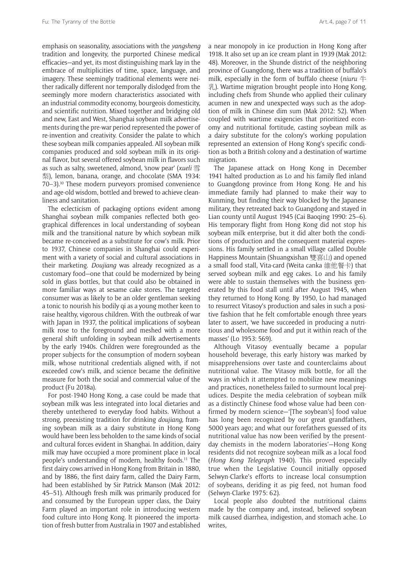emphasis on seasonality, associations with the *yangsheng*  tradition and longevity, the purported Chinese medical efficacies—and yet, its most distinguishing mark lay in the embrace of multiplicities of time, space, language, and imagery. These seemingly traditional elements were neither radically different nor temporally dislodged from the seemingly more modern characteristics associated with an industrial commodity economy, bourgeois domesticity, and scientific nutrition. Mixed together and bridging old and new, East and West, Shanghai soybean milk advertisements during the pre-war period represented the power of re-invention and creativity. Consider the palate to which these soybean milk companies appealed. All soybean milk companies produced and sold soybean milk in its original flavor, but several offered soybean milk in flavors such as such as salty, sweetened, almond, 'snow pear' (*xueli* 雪 梨), lemon, banana, orange, and chocolate (SMA 1934: 70–3).10 These modern purveyors promised convenience and age-old wisdom, bottled and brewed to achieve cleanliness and sanitation.

The eclecticism of packaging options evident among Shanghai soybean milk companies reflected both geographical differences in local understanding of soybean milk and the transitional nature by which soybean milk became re-conceived as a substitute for cow's milk. Prior to 1937, Chinese companies in Shanghai could experiment with a variety of social and cultural associations in their marketing. *Doujiang* was already recognized as a customary food—one that could be modernized by being sold in glass bottles, but that could also be obtained in more familiar ways at sesame cake stores. The targeted consumer was as likely to be an older gentleman seeking a tonic to nourish his bodily qi as a young mother keen to raise healthy, vigorous children. With the outbreak of war with Japan in 1937, the political implications of soybean milk rose to the foreground and meshed with a more general shift unfolding in soybean milk advertisements by the early 1940s. Children were foregrounded as the proper subjects for the consumption of modern soybean milk, whose nutritional credentials aligned with, if not exceeded cow's milk, and science became the definitive measure for both the social and commercial value of the product (Fu 2018a).

For post-1940 Hong Kong, a case could be made that soybean milk was less integrated into local dietaries and thereby untethered to everyday food habits. Without a strong, preexisting tradition for drinking *doujiang,* framing soybean milk as a dairy substitute in Hong Kong would have been less beholden to the same kinds of social and cultural forces evident in Shanghai. In addition, dairy milk may have occupied a more prominent place in local people's understanding of modern, healthy foods.11 The first dairy cows arrived in Hong Kong from Britain in 1880, and by 1886, the first dairy farm, called the Dairy Farm, had been established by Sir Patrick Manson (Mak 2012: 45–51). Although fresh milk was primarily produced for and consumed by the European upper class, the Dairy Farm played an important role in introducing western food culture into Hong Kong. It pioneered the importation of fresh butter from Australia in 1907 and established

a near monopoly in ice production in Hong Kong after 1918. It also set up an ice cream plant in 1939 (Mak 2012: 48). Moreover, in the Shunde district of the neighboring province of Guangdong, there was a tradition of buffalo's milk, especially in the form of buffalo cheese (*niuru* 牛 乳). Wartime migration brought people into Hong Kong, including chefs from Shunde who applied their culinary acumen in new and unexpected ways such as the adoption of milk in Chinese dim sum (Mak 2012: 52). When coupled with wartime exigencies that prioritized economy and nutritional fortitude, casting soybean milk as a dairy substitute for the colony's working population represented an extension of Hong Kong's specific condition as both a British colony and a destination of wartime migration.

The Japanese attack on Hong Kong in December 1941 halted production as Lo and his family fled inland to Guangdong province from Hong Kong. He and his immediate family had planned to make their way to Kunming, but finding their way blocked by the Japanese military, they retreated back to Guangdong and stayed in Lian county until August 1945 (Cai Baoqing 1990: 25–6). His temporary flight from Hong Kong did not stop his soybean milk enterprise, but it did alter both the conditions of production and the consequent material expressions. His family settled in a small village called Double Happiness Mountain (Shuangxishan 雙喜山) and opened a small food stall, Vita-card (Weita canka 維他餐卡) that served soybean milk and egg cakes. Lo and his family were able to sustain themselves with the business generated by this food stall until after August 1945, when they returned to Hong Kong. By 1950, Lo had managed to resurrect Vitasoy's production and sales in such a positive fashion that he felt comfortable enough three years later to assert, 'we have succeeded in producing a nutritious and wholesome food and put it within reach of the masses' (Lo 1953: 569).

Although Vitasoy eventually became a popular household beverage, this early history was marked by misapprehensions over taste and counterclaims about nutritional value. The Vitasoy milk bottle, for all the ways in which it attempted to mobilize new meanings and practices, nonetheless failed to surmount local prejudices. Despite the media celebration of soybean milk as a distinctly Chinese food whose value had been confirmed by modern science—'[The soybean's] food value has long been recognized by our great grandfathers, 5000 years ago; and what our forefathers guessed of its nutritional value has now been verified by the presentday chemists in the modern laboratories'—Hong Kong residents did not recognize soybean milk as a local food (*Hong Kong Telegraph* 1940). This proved especially true when the Legislative Council initially opposed Selwyn-Clarke's efforts to increase local consumption of soybeans, deriding it as pig feed, not human food (Selwyn-Clarke 1975: 62).

Local people also doubted the nutritional claims made by the company and, instead, believed soybean milk caused diarrhea, indigestion, and stomach ache. Lo writes,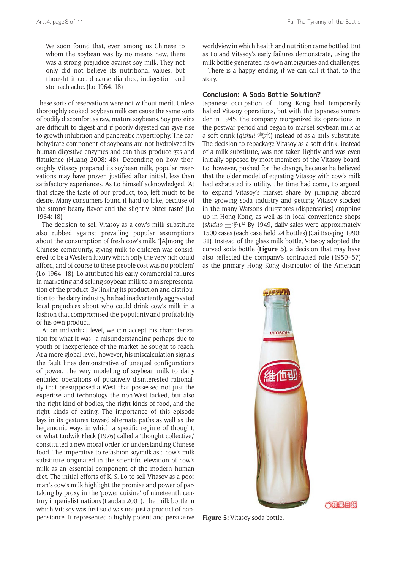These sorts of reservations were not without merit. Unless thoroughly cooked, soybean milk can cause the same sorts of bodily discomfort as raw, mature soybeans. Soy proteins are difficult to digest and if poorly digested can give rise to growth inhibition and pancreatic hypertrophy. The carbohydrate component of soybeans are not hydrolyzed by human digestive enzymes and can thus produce gas and flatulence (Huang 2008: 48). Depending on how thoroughly Vitasoy prepared its soybean milk, popular reservations may have proven justified after initial, less than satisfactory experiences. As Lo himself acknowledged, 'At that stage the taste of our product, too, left much to be desire. Many consumers found it hard to take, because of the strong beany flavor and the slightly bitter taste' (Lo 1964: 18).

The decision to sell Vitasoy as a cow's milk substitute also rubbed against prevailing popular assumptions about the consumption of fresh cow's milk. '[A]mong the Chinese community, giving milk to children was considered to be a Western luxury which only the very rich could afford, and of course to these people cost was no problem' (Lo 1964: 18). Lo attributed his early commercial failures in marketing and selling soybean milk to a misrepresentation of the product. By linking its production and distribution to the dairy industry, he had inadvertently aggravated local prejudices about who could drink cow's milk in a fashion that compromised the popularity and profitability of his own product.

At an individual level, we can accept his characterization for what it was—a misunderstanding perhaps due to youth or inexperience of the market he sought to reach. At a more global level, however, his miscalculation signals the fault lines demonstrative of unequal configurations of power. The very modeling of soybean milk to dairy entailed operations of putatively disinterested rationality that presupposed a West that possessed not just the expertise and technology the non-West lacked, but also the right kind of bodies, the right kinds of food, and the right kinds of eating. The importance of this episode lays in its gestures toward alternate paths as well as the hegemonic ways in which a specific regime of thought, or what Ludwik Fleck (1976) called a 'thought collective,' constituted a new moral order for understanding Chinese food. The imperative to refashion soymilk as a cow's milk substitute originated in the scientific elevation of cow's milk as an essential component of the modern human diet. The initial efforts of K. S. Lo to sell Vitasoy as a poor man's cow's milk highlight the promise and power of partaking by proxy in the 'power cuisine' of nineteenth century imperialist nations (Laudan 2001). The milk bottle in which Vitasoy was first sold was not just a product of happenstance. It represented a highly potent and persuasive

worldview in which health and nutrition came bottled. But as Lo and Vitasoy's early failures demonstrate, using the milk bottle generated its own ambiguities and challenges.

There is a happy ending, if we can call it that, to this story.

#### **Conclusion: A Soda Bottle Solution?**

Japanese occupation of Hong Kong had temporarily halted Vitasoy operations, but with the Japanese surrender in 1945, the company reorganized its operations in the postwar period and began to market soybean milk as a soft drink (*qishui* 汽水) instead of as a milk substitute. The decision to repackage Vitasoy as a soft drink, instead of a milk substitute, was not taken lightly and was even initially opposed by most members of the Vitasoy board. Lo, however, pushed for the change, because he believed that the older model of equating Vitasoy with cow's milk had exhausted its utility. The time had come, Lo argued, to expand Vitasoy's market share by jumping aboard the growing soda industry and getting Vitasoy stocked in the many Watsons drugstores (dispensaries) cropping up in Hong Kong, as well as in local convenience shops (*shiduo* 士多).12 By 1949, daily sales were approximately 1500 cases (each case held 24 bottles) (Cai Baoqing 1990: 31). Instead of the glass milk bottle, Vitasoy adopted the curved soda bottle (**Figure 5**), a decision that may have also reflected the company's contracted role (1950–57) as the primary Hong Kong distributor of the American



**Figure 5:** Vitasoy soda bottle.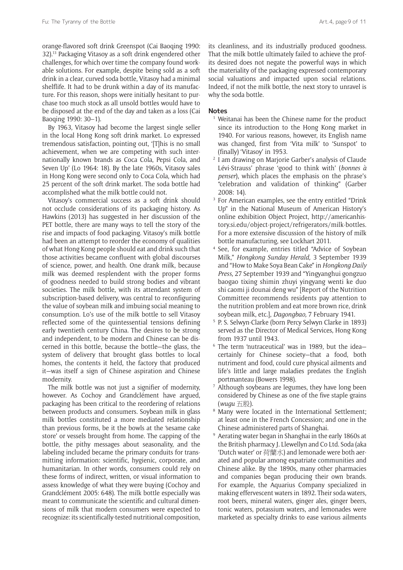orange-flavored soft drink Greenspot (Cai Baoqing 1990: 32).13 Packaging Vitasoy as a soft drink engendered other challenges, for which over time the company found workable solutions. For example, despite being sold as a soft drink in a clear, curved soda bottle, Vitasoy had a minimal shelflife. It had to be drunk within a day of its manufacture. For this reason, shops were initially hesitant to purchase too much stock as all unsold bottles would have to be disposed at the end of the day and taken as a loss (Cai Baoqing 1990: 30–1).

By 1963, Vitasoy had become the largest single seller in the local Hong Kong soft drink market. Lo expressed tremendous satisfaction, pointing out, '[T]his is no small achievement, when we are competing with such internationally known brands as Coca Cola, Pepsi Cola, and Seven Up' (Lo 1964: 18). By the late 1960s, Vitasoy sales in Hong Kong were second only to Coca Cola, which had 25 percent of the soft drink market. The soda bottle had accomplished what the milk bottle could not.

Vitasoy's commercial success as a soft drink should not occlude considerations of its packaging history. As Hawkins (2013) has suggested in her discussion of the PET bottle, there are many ways to tell the story of the rise and impacts of food packaging. Vitasoy's milk bottle had been an attempt to reorder the economy of qualities of what Hong Kong people should eat and drink such that those activities became confluent with global discourses of science, power, and health. One drank milk, because milk was deemed resplendent with the proper forms of goodness needed to build strong bodies and vibrant societies. The milk bottle, with its attendant system of subscription-based delivery, was central to reconfiguring the value of soybean milk and imbuing social meaning to consumption. Lo's use of the milk bottle to sell Vitasoy reflected some of the quintessential tensions defining early twentieth century China. The desires to be strong and independent, to be modern and Chinese can be discerned in this bottle, because the bottle—the glass, the system of delivery that brought glass bottles to local homes, the contents it held, the factory that produced it—was itself a sign of Chinese aspiration and Chinese modernity.

The milk bottle was not just a signifier of modernity, however. As Cochoy and Grandclément have argued, packaging has been critical to the reordering of relations between products and consumers. Soybean milk in glass milk bottles constituted a more mediated relationship than previous forms, be it the bowls at the 'sesame cake store' or vessels brought from home. The capping of the bottle, the pithy messages about seasonality, and the labeling included became the primary conduits for transmitting information: scientific, hygienic, corporate, and humanitarian. In other words, consumers could rely on these forms of indirect, written, or visual information to assess knowledge of what they were buying (Cochoy and Grandclément 2005: 648). The milk bottle especially was meant to communicate the scientific and cultural dimensions of milk that modern consumers were expected to recognize: its scientifically-tested nutritional composition,

its cleanliness, and its industrially produced goodness. That the milk bottle ultimately failed to achieve the profits desired does not negate the powerful ways in which the materiality of the packaging expressed contemporary social valuations and impacted upon social relations. Indeed, if not the milk bottle, the next story to unravel is why the soda bottle.

## **Notes**

- <sup>1</sup> Weitanai has been the Chinese name for the product since its introduction to the Hong Kong market in 1940. For various reasons, however, its English name was changed, first from 'Vita milk' to 'Sunspot' to (finally) 'Vitasoy' in 1953.
- <sup>2</sup> I am drawing on Marjorie Garber's analysis of Claude Lévi-Strauss' phrase 'good to think with' (*bonnes à penser*), which places the emphasis on the phrase's "celebration and validation of thinking" (Garber 2008: 14).
- <sup>3</sup> For American examples, see the entry entitled "Drink Up" in the National Museum of American History's online exhibition Object Project, [http://americanhis](http://americanhistory.si.edu/object-project/refrigerators/milk-bottles)[tory.si.edu/object-project/refrigerators/milk-bottles](http://americanhistory.si.edu/object-project/refrigerators/milk-bottles). For a more extensive discussion of the history of milk bottle manufacturing, see Lockhart 2011.
- <sup>4</sup> See, for example, entries titled "Advice of Soybean Milk," *Hongkong Sunday Herald,* 3 September 1939 and "How to Make Soya Bean Cake" in *Hongkong Daily Press,* 27 September 1939 and "Yingyanghui gongzuo baogao tixing shimin zhuyi yingyang wenti ke duo shi caomi ji dounai deng wu" [Report of the Nutrition Committee recommends residents pay attention to the nutrition problem and eat more brown rice, drink soybean milk, etc.], *Dagongbao,* 7 February 1941.
- <sup>5</sup> P. S. Selwyn-Clarke (born Percy Selwyn Clarke in 1893) served as the Director of Medical Services, Hong Kong from 1937 until 1943.
- <sup>6</sup> The term 'nutraceutical' was in 1989, but the idea certainly for Chinese society—that a food, both nutriment and food, could cure physical ailments and life's little and large maladies predates the English portmanteau (Bowers 1998).
- Although soybeans are legumes, they have long been considered by Chinese as one of the five staple grains
- (*wugu*  $\pm$  股).<br><sup>8</sup> Many were located in the International Settlement; at least one in the French Concession; and one in the Chinese administered parts of Shanghai.
- <sup>9</sup> Aerating water began in Shanghai in the early 1860s at the British pharmacy J. Llewellyn and Co Ltd. Soda (aka 'Dutch water' or 荷蘭水) and lemonade were both aerated and popular among expatriate communities and Chinese alike. By the 1890s, many other pharmacies and companies began producing their own brands. For example, the Aquarius Company specialized in making effervescent waters in 1892. Their soda waters, root beers, mineral waters, ginger ales, ginger beers, tonic waters, potassium waters, and lemonades were marketed as specialty drinks to ease various ailments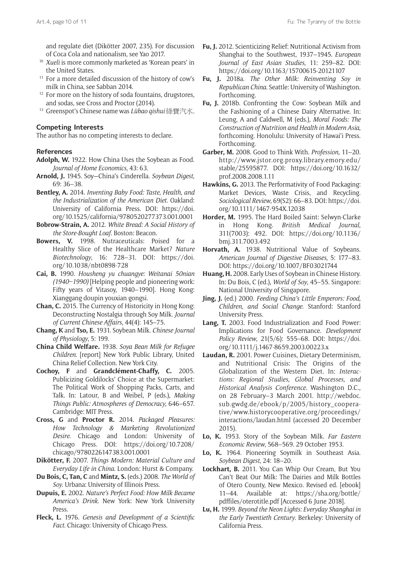and regulate diet (Dikötter 2007, 235). For discussion of Coca Cola and nationalism, see Yao 2017.

- <sup>10</sup> *Xueli* is more commonly marketed as 'Korean pears' in the United States.
- <sup>11</sup> For a more detailed discussion of the history of cow's milk in China, see Sabban 2014.
- <sup>12</sup> For more on the history of soda fountains, drugstores, and sodas, see Cross and Proctor (2014).
- <sup>13</sup> Greenspot's Chinese name was *Lübao qishui* 綠寶汽水.

#### **Competing Interests**

The author has no competing interests to declare.

## **References**

- **Adolph, W.** 1922. How China Uses the Soybean as Food. *Journal of Home Economics*, 43: 63.
- **Arnold, J.** 1945. Soy—China's Cinderella. *Soybean Digest*, 69: 36–38.
- **Bentley, A.** 2014. *Inventing Baby Food: Taste, Health, and the Industrialization of the American Diet*. Oakland: University of California Press. DOI: [https://doi.](https://doi.org/10.1525/california/9780520277373.001.0001) [org/10.1525/california/9780520277373.001.0001](https://doi.org/10.1525/california/9780520277373.001.0001)
- **Bobrow-Strain, A.** 2012. *White Bread: A Social History of the Store-Bought Loaf*. Boston: Beacon.
- **Bowers, V.** 1998. Nutraceuticals: Poised for a Healthy Slice of the Healthcare Market? *Nature Biotechnology*, 16: 728–31. DOI: [https://doi.](https://doi.org/10.1038/nbt0898-728) [org/10.1038/nbt0898-728](https://doi.org/10.1038/nbt0898-728)
- **Cai, B.** 1990. *Housheng yu chuangye: Weitanai 50nian (1940–1990)* [Helping people and pioneering work: Fifty years of Vitasoy, 1940–1990]. Hong Kong: Xianggang doupin youxian gongsi.
- **Chan, C.** 2015. The Currency of Historicity in Hong Kong: Deconstructing Nostalgia through Soy Milk. *Journal of Current Chinese Affairs*, 44(4): 145–75.
- **Chang, K** and **Tso, E.** 1931. Soybean Milk. *Chinese Journal of Physiology*, 5: 199.
- **China Child Welfare.** 1938. *Soya Bean Milk for Refugee Children*. [report] New York Public Library, United China Relief Collection. New York City.
- **Cochoy, F** and **Grandclément-Chaffy, C.** 2005. Publicizing Goldilocks' Choice at the Supermarket: The Political Work of Shopping Packs, Carts, and Talk. In: Latour, B and Weibel, P (eds.), *Making Things Public: Atmospheres of Democracy*, 646–657. Cambridge: MIT Press.
- **Cross, G** and **Proctor R.** 2014. *Packaged Pleasures: How Technology & Marketing Revolutionized Desire*. Chicago and London: University of Chicago Press. DOI: [https://doi.org/10.7208/](https://doi.org/10.7208/chicago/9780226147383.001.0001 ) [chicago/9780226147383.001.0001](https://doi.org/10.7208/chicago/9780226147383.001.0001 )
- **Dikötter, F.** 2007. *Things Modern: Material Culture and Everyday Life in China*. London: Hurst & Company.
- **Du Bois, C, Tan, C** and **Mintz, S.** (eds.) 2008. *The World of Soy*. Urbana: University of Illinois Press.
- **Dupuis, E.** 2002. *Nature's Perfect Food: How Milk Became America's Drink*. New York: New York University Press.
- **Fleck, L.** 1976. *Genesis and Development of a Scientific Fact*. Chicago: University of Chicago Press.
- **Fu, J.** 2012. Scienticizing Relief: Nutritional Activism from Shanghai to the Southwest, 1937–1945. *European Journal of East Asian Studies*, 11: 259–82. DOI: <https://doi.org/10.1163/15700615-20121107>
- **Fu, J.** 2018a. *The Other Milk: Reinventing Soy in Republican China*. Seattle: University of Washington. Forthcoming.
- **Fu, J.** 2018b. Confronting the Cow: Soybean Milk and the Fashioning of a Chinese Dairy Alternative. In: Leung, A and Caldwell, M (eds.), *Moral Foods: The Construction of Nutrition and Health in Modern Asia*, forthcoming. Honolulu: University of Hawai'i Press. Forthcoming.
- **Garber, M.** 2008. Good to Think With. *Profession*, 11–20. [http://www.jstor.org.proxy.library.emory.edu/](http://www.jstor.org.proxy.library.emory.edu/stable/25595877) [stable/25595877.](http://www.jstor.org.proxy.library.emory.edu/stable/25595877) DOI: [https://doi.org/10.1632/](https://doi.org/10.1632/prof.2008.2008.1.11) [prof.2008.2008.1.11](https://doi.org/10.1632/prof.2008.2008.1.11)
- **Hawkins, G.** 2013. The Performativity of Food Packaging: Market Devices, Waste Crisis, and Recycling. *Sociological Review*, 69(S2): 66–83. DOI: [https://doi.](https://doi.org/10.1111/1467-954X.12038) [org/10.1111/1467-954X.12038](https://doi.org/10.1111/1467-954X.12038)
- **Horder, M.** 1995. The Hard Boiled Saint: Selwyn-Clarke in Hong Kong. *British Medical Journal*, 311(7003): 492. DOI: [https://doi.org/10.1136/](https://doi.org/10.1136/bmj.311.7003.492) [bmj.311.7003.492](https://doi.org/10.1136/bmj.311.7003.492)
- **Horvath, A.** 1938. Nutritional Value of Soybeans. *American Journal of Digestive Diseases*, 5: 177–83. DOI:<https://doi.org/10.1007/BF03021744>
- **Huang, H.** 2008. Early Uses of Soybean in Chinese History. In: Du Bois, C (ed.), *World of Soy*, 45–55. Singapore: National University of Singapore.
- **Jing, J.** (ed.) 2000. *Feeding China's Little Emperors: Food, Children, and Social Change*. Stanford: Stanford University Press.
- **Lang, T.** 2003. Food Industrialization and Food Power: Implications for Food Governance. *Development Policy Review*, 21(5/6): 555–68. DOI: [https://doi.](https://doi.org/10.1111/j.1467-8659.2003.00223.x) [org/10.1111/j.1467-8659.2003.00223.x](https://doi.org/10.1111/j.1467-8659.2003.00223.x)
- **Laudan, R.** 2001. Power Cuisines, Dietary Determinism, and Nutritional Crisis: The Origins of the Globalization of the Western Diet. In: *Interactions: Regional Studies, Global Processes, and Historical Analysis Conference*. Washington D.C., on 28 February–3 March 2001. [http://webdoc.](http://webdoc.sub.gwdg.de/ebook/p/2005/history_cooperative/www.historycooperative.org/proceedings/interactions/laudan.html) [sub.gwdg.de/ebook/p/2005/history\\_coopera](http://webdoc.sub.gwdg.de/ebook/p/2005/history_cooperative/www.historycooperative.org/proceedings/interactions/laudan.html)[tive/www.historycooperative.org/proceedings/](http://webdoc.sub.gwdg.de/ebook/p/2005/history_cooperative/www.historycooperative.org/proceedings/interactions/laudan.html) [interactions/laudan.html](http://webdoc.sub.gwdg.de/ebook/p/2005/history_cooperative/www.historycooperative.org/proceedings/interactions/laudan.html) (accessed 20 December 2015).
- **Lo, K.** 1953. Story of the Soybean Milk. *Far Eastern Economic Review*, 568–569. 29 October 1953.
- **Lo, K.** 1964. Pioneering Soymilk in Southeast Asia. *Soybean Digest*, 24: 18–20.
- **Lockhart, B.** 2011. You Can Whip Our Cream, But You Can't Beat Our Milk: The Dairies and Milk Bottles of Otero County, New Mexico. Revised ed. [ebook] 11–44. Available at: [https://sha.org/bottle/](https://sha.org/bottle/pdffiles/oterotitle.pdf) [pdffiles/oterotitle.pdf](https://sha.org/bottle/pdffiles/oterotitle.pdf) [Accessed 6 June 2018].
- **Lu, H.** 1999. *Beyond the Neon Lights: Everyday Shanghai in the Early Twentieth Century*. Berkeley: University of California Press.